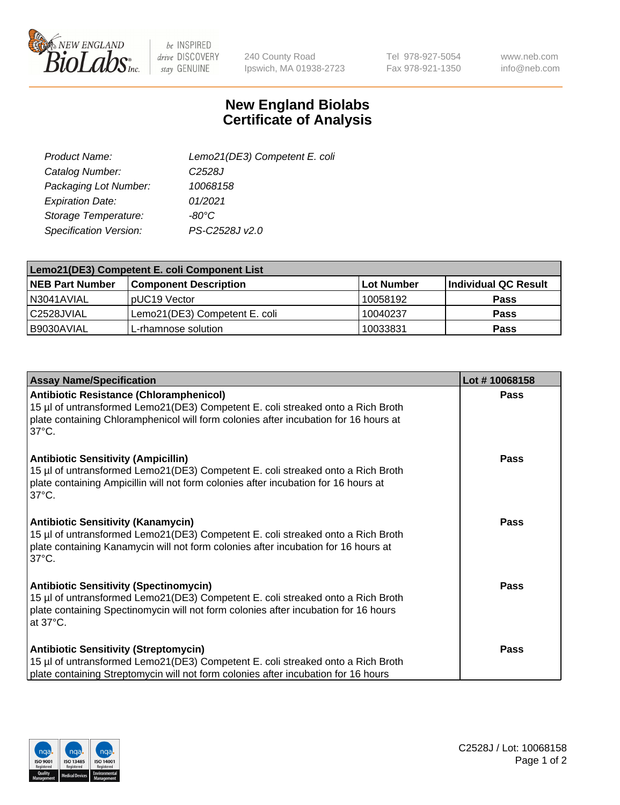

 $be$  INSPIRED drive DISCOVERY stay GENUINE

240 County Road Ipswich, MA 01938-2723 Tel 978-927-5054 Fax 978-921-1350

www.neb.com info@neb.com

## **New England Biolabs Certificate of Analysis**

| Lemo21(DE3) Competent E. coli |
|-------------------------------|
| C <sub>2528</sub> J           |
| 10068158                      |
| 01/2021                       |
| $-80^{\circ}$ C               |
| PS-C2528J v2.0                |
|                               |

| Lemo21(DE3) Competent E. coli Component List |                               |            |                      |  |
|----------------------------------------------|-------------------------------|------------|----------------------|--|
| <b>NEB Part Number</b>                       | <b>Component Description</b>  | Lot Number | Individual QC Result |  |
| I N3041AVIAL                                 | IpUC19 Vector                 | 10058192   | <b>Pass</b>          |  |
| l C2528JVIAL                                 | Lemo21(DE3) Competent E. coli | 10040237   | <b>Pass</b>          |  |
| B9030AVIAL                                   | L-rhamnose solution           | 10033831   | <b>Pass</b>          |  |

| <b>Assay Name/Specification</b>                                                                                                                                                                                                              | Lot #10068158 |
|----------------------------------------------------------------------------------------------------------------------------------------------------------------------------------------------------------------------------------------------|---------------|
| <b>Antibiotic Resistance (Chloramphenicol)</b><br>15 µl of untransformed Lemo21(DE3) Competent E. coli streaked onto a Rich Broth<br>plate containing Chloramphenicol will form colonies after incubation for 16 hours at<br>$37^{\circ}$ C. | <b>Pass</b>   |
| <b>Antibiotic Sensitivity (Ampicillin)</b><br>15 µl of untransformed Lemo21(DE3) Competent E. coli streaked onto a Rich Broth<br>plate containing Ampicillin will not form colonies after incubation for 16 hours at<br>$37^{\circ}$ C.      | Pass          |
| <b>Antibiotic Sensitivity (Kanamycin)</b><br>15 µl of untransformed Lemo21(DE3) Competent E. coli streaked onto a Rich Broth<br>plate containing Kanamycin will not form colonies after incubation for 16 hours at<br>$37^{\circ}$ C.        | <b>Pass</b>   |
| <b>Antibiotic Sensitivity (Spectinomycin)</b><br>15 µl of untransformed Lemo21(DE3) Competent E. coli streaked onto a Rich Broth<br>plate containing Spectinomycin will not form colonies after incubation for 16 hours<br>at 37°C.          | Pass          |
| <b>Antibiotic Sensitivity (Streptomycin)</b><br>15 µl of untransformed Lemo21(DE3) Competent E. coli streaked onto a Rich Broth<br>plate containing Streptomycin will not form colonies after incubation for 16 hours                        | Pass          |